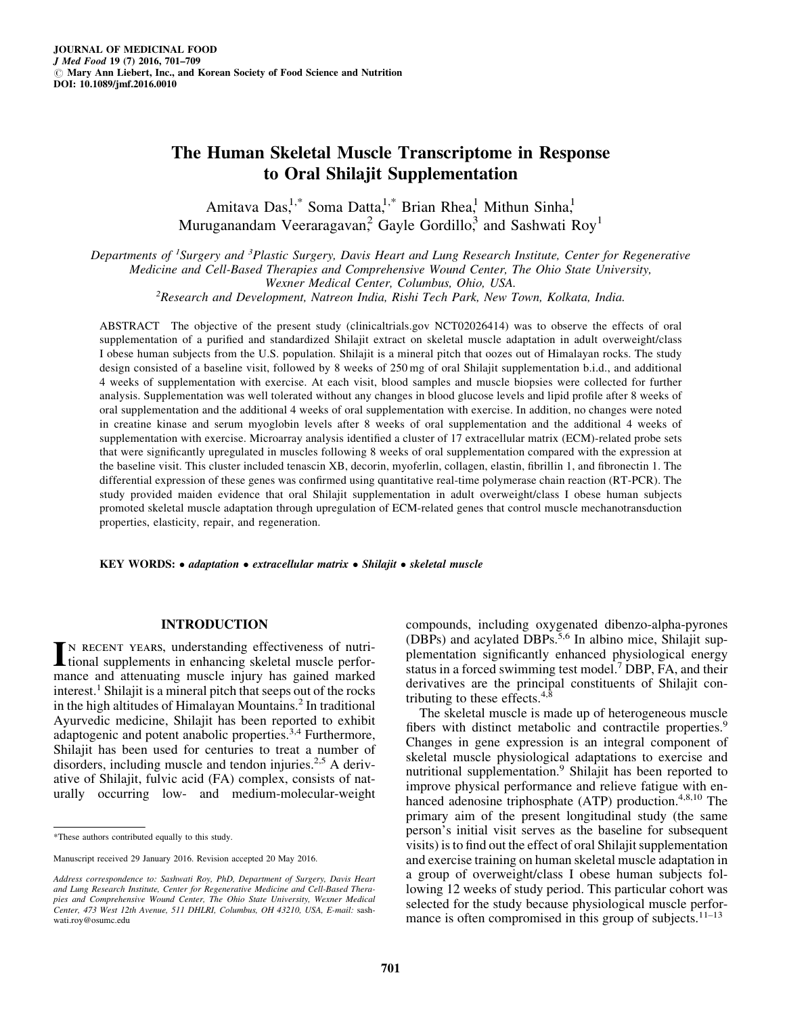# The Human Skeletal Muscle Transcriptome in Response to Oral Shilajit Supplementation

Amitava Das,<sup>1,\*</sup> Soma Datta,<sup>1,\*</sup> Brian Rhea,<sup>1</sup> Mithun Sinha,<sup>1</sup> Muruganandam Veeraragavan,<sup>2</sup> Gayle Gordillo,<sup>3</sup> and Sashwati Roy<sup>1</sup>

Departments of <sup>1</sup>Surgery and <sup>3</sup>Plastic Surgery, Davis Heart and Lung Research Institute, Center for Regenerative Medicine and Cell-Based Therapies and Comprehensive Wound Center, The Ohio State University,

Wexner Medical Center, Columbus, Ohio, USA.<br><sup>2</sup>Research and Development, Natreon India, Rishi Tech Park, New Town, Kolkata, India.

ABSTRACT The objective of the present study (clinicaltrials.gov NCT02026414) was to observe the effects of oral supplementation of a purified and standardized Shilajit extract on skeletal muscle adaptation in adult overweight/class I obese human subjects from the U.S. population. Shilajit is a mineral pitch that oozes out of Himalayan rocks. The study design consisted of a baseline visit, followed by 8 weeks of 250 mg of oral Shilajit supplementation b.i.d., and additional 4 weeks of supplementation with exercise. At each visit, blood samples and muscle biopsies were collected for further analysis. Supplementation was well tolerated without any changes in blood glucose levels and lipid profile after 8 weeks of oral supplementation and the additional 4 weeks of oral supplementation with exercise. In addition, no changes were noted in creatine kinase and serum myoglobin levels after 8 weeks of oral supplementation and the additional 4 weeks of supplementation with exercise. Microarray analysis identified a cluster of 17 extracellular matrix (ECM)-related probe sets that were significantly upregulated in muscles following 8 weeks of oral supplementation compared with the expression at the baseline visit. This cluster included tenascin XB, decorin, myoferlin, collagen, elastin, fibrillin 1, and fibronectin 1. The differential expression of these genes was confirmed using quantitative real-time polymerase chain reaction (RT-PCR). The study provided maiden evidence that oral Shilajit supplementation in adult overweight/class I obese human subjects promoted skeletal muscle adaptation through upregulation of ECM-related genes that control muscle mechanotransduction properties, elasticity, repair, and regeneration.

KEY WORDS: • adaptation • extracellular matrix • Shilajit • skeletal muscle

#### INTRODUCTION

IN RECENT YEARS, understanding effectiveness of nutri-**Let ional supplements in enhancing skeletal muscle perfor**mance and attenuating muscle injury has gained marked  $interest.<sup>1</sup> Shilajit is a mineral pitch that seeps out of the rocks$ in the high altitudes of Himalayan Mountains.<sup>2</sup> In traditional Ayurvedic medicine, Shilajit has been reported to exhibit adaptogenic and potent anabolic properties.<sup>3,4</sup> Furthermore, Shilajit has been used for centuries to treat a number of disorders, including muscle and tendon injuries. $2.5$  A derivative of Shilajit, fulvic acid (FA) complex, consists of naturally occurring low- and medium-molecular-weight compounds, including oxygenated dibenzo-alpha-pyrones (DBPs) and acylated DBPs.<sup>5,6</sup> In albino mice, Shilajit supplementation significantly enhanced physiological energy status in a forced swimming test model.7 DBP, FA, and their derivatives are the principal constituents of Shilajit contributing to these effects.4,8

The skeletal muscle is made up of heterogeneous muscle fibers with distinct metabolic and contractile properties.<sup>9</sup> Changes in gene expression is an integral component of skeletal muscle physiological adaptations to exercise and nutritional supplementation.<sup>9</sup> Shilajit has been reported to improve physical performance and relieve fatigue with enhanced adenosine triphosphate (ATP) production.<sup>4,8,10</sup> The primary aim of the present longitudinal study (the same person's initial visit serves as the baseline for subsequent visits) is to find out the effect of oral Shilajit supplementation and exercise training on human skeletal muscle adaptation in a group of overweight/class I obese human subjects following 12 weeks of study period. This particular cohort was selected for the study because physiological muscle performance is often compromised in this group of subjects. $11-13$ 

<sup>\*</sup>These authors contributed equally to this study.

Manuscript received 29 January 2016. Revision accepted 20 May 2016.

Address correspondence to: Sashwati Roy, PhD, Department of Surgery, Davis Heart and Lung Research Institute, Center for Regenerative Medicine and Cell-Based Therapies and Comprehensive Wound Center, The Ohio State University, Wexner Medical Center, 473 West 12th Avenue, 511 DHLRI, Columbus, OH 43210, USA, E-mail: sashwati.roy@osumc.edu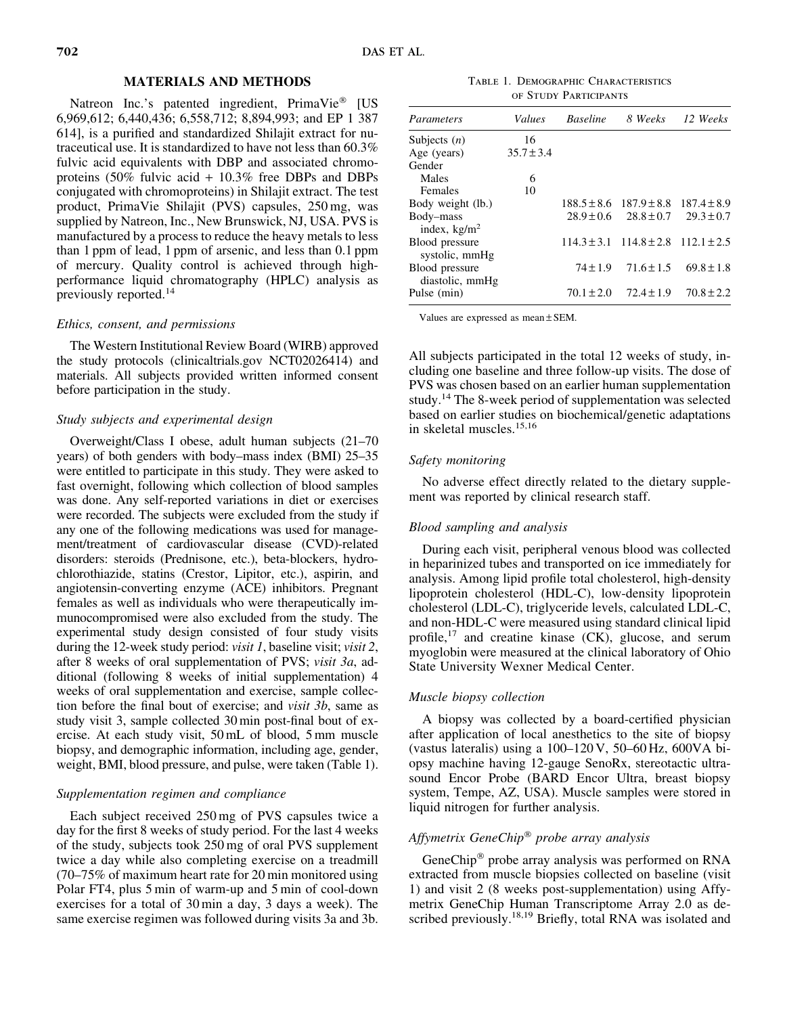# MATERIALS AND METHODS

Natreon Inc.'s patented ingredient, PrimaVie® [US 6,969,612; 6,440,436; 6,558,712; 8,894,993; and EP 1 387 614], is a purified and standardized Shilajit extract for nutraceutical use. It is standardized to have not less than 60.3% fulvic acid equivalents with DBP and associated chromoproteins (50% fulvic acid + 10.3% free DBPs and DBPs conjugated with chromoproteins) in Shilajit extract. The test product, PrimaVie Shilajit (PVS) capsules, 250 mg, was supplied by Natreon, Inc., New Brunswick, NJ, USA. PVS is manufactured by a process to reduce the heavy metals to less than 1 ppm of lead, 1 ppm of arsenic, and less than 0.1 ppm of mercury. Quality control is achieved through highperformance liquid chromatography (HPLC) analysis as previously reported.<sup>14</sup>

## Ethics, consent, and permissions

The Western Institutional Review Board (WIRB) approved the study protocols (clinicaltrials.gov NCT02026414) and materials. All subjects provided written informed consent before participation in the study.

## Study subjects and experimental design

Overweight/Class I obese, adult human subjects (21–70 years) of both genders with body–mass index (BMI) 25–35 were entitled to participate in this study. They were asked to fast overnight, following which collection of blood samples was done. Any self-reported variations in diet or exercises were recorded. The subjects were excluded from the study if any one of the following medications was used for management/treatment of cardiovascular disease (CVD)-related disorders: steroids (Prednisone, etc.), beta-blockers, hydrochlorothiazide, statins (Crestor, Lipitor, etc.), aspirin, and angiotensin-converting enzyme (ACE) inhibitors. Pregnant females as well as individuals who were therapeutically immunocompromised were also excluded from the study. The experimental study design consisted of four study visits during the 12-week study period: *visit 1*, baseline visit; *visit 2*, after 8 weeks of oral supplementation of PVS; visit 3a, additional (following 8 weeks of initial supplementation) 4 weeks of oral supplementation and exercise, sample collection before the final bout of exercise; and visit 3b, same as study visit 3, sample collected 30 min post-final bout of exercise. At each study visit, 50 mL of blood, 5 mm muscle biopsy, and demographic information, including age, gender, weight, BMI, blood pressure, and pulse, were taken (Table 1).

## Supplementation regimen and compliance

Each subject received 250 mg of PVS capsules twice a day for the first 8 weeks of study period. For the last 4 weeks of the study, subjects took 250 mg of oral PVS supplement twice a day while also completing exercise on a treadmill (70–75% of maximum heart rate for 20 min monitored using Polar FT4, plus 5 min of warm-up and 5 min of cool-down exercises for a total of 30 min a day, 3 days a week). The same exercise regimen was followed during visits 3a and 3b.

Table 1. Demographic Characteristics of Study Participants

| Parameters                          | Values         | <b>Baseline</b> |                                                 | 8 Weeks 12 Weeks |
|-------------------------------------|----------------|-----------------|-------------------------------------------------|------------------|
| Subjects $(n)$                      | 16             |                 |                                                 |                  |
| Age (years)                         | $35.7 \pm 3.4$ |                 |                                                 |                  |
| Gender                              |                |                 |                                                 |                  |
| Males                               | 6              |                 |                                                 |                  |
| Females                             | 10             |                 |                                                 |                  |
| Body weight (lb.)                   |                |                 | $188.5 \pm 8.6$ $187.9 \pm 8.8$                 | $187.4 \pm 8.9$  |
| Body-mass<br>index, $\text{kg/m}^2$ |                | $28.9 \pm 0.6$  | $28.8 \pm 0.7$                                  | $29.3 \pm 0.7$   |
| Blood pressure<br>systolic, mmHg    |                |                 | $114.3 \pm 3.1$ $114.8 \pm 2.8$ $112.1 \pm 2.5$ |                  |
| Blood pressure<br>diastolic, mmHg   |                | $74 \pm 1.9$    | $71.6 \pm 1.5$                                  | $69.8 \pm 1.8$   |
| Pulse (min)                         |                | $70.1 \pm 2.0$  | $72.4 \pm 1.9$                                  | $70.8 \pm 2.2$   |

Values are expressed as mean  $\pm$  SEM.

All subjects participated in the total 12 weeks of study, including one baseline and three follow-up visits. The dose of PVS was chosen based on an earlier human supplementation study.14 The 8-week period of supplementation was selected based on earlier studies on biochemical/genetic adaptations in skeletal muscles.15,16

#### Safety monitoring

No adverse effect directly related to the dietary supplement was reported by clinical research staff.

#### Blood sampling and analysis

During each visit, peripheral venous blood was collected in heparinized tubes and transported on ice immediately for analysis. Among lipid profile total cholesterol, high-density lipoprotein cholesterol (HDL-C), low-density lipoprotein cholesterol (LDL-C), triglyceride levels, calculated LDL-C, and non-HDL-C were measured using standard clinical lipid profile, $17$  and creatine kinase (CK), glucose, and serum myoglobin were measured at the clinical laboratory of Ohio State University Wexner Medical Center.

## Muscle biopsy collection

A biopsy was collected by a board-certified physician after application of local anesthetics to the site of biopsy (vastus lateralis) using a 100–120 V, 50–60 Hz, 600VA biopsy machine having 12-gauge SenoRx, stereotactic ultrasound Encor Probe (BARD Encor Ultra, breast biopsy system, Tempe, AZ, USA). Muscle samples were stored in liquid nitrogen for further analysis.

# Affymetrix GeneChip<sup>®</sup> probe array analysis

GeneChip® probe array analysis was performed on RNA extracted from muscle biopsies collected on baseline (visit 1) and visit 2 (8 weeks post-supplementation) using Affymetrix GeneChip Human Transcriptome Array 2.0 as described previously.<sup>18,19</sup> Briefly, total RNA was isolated and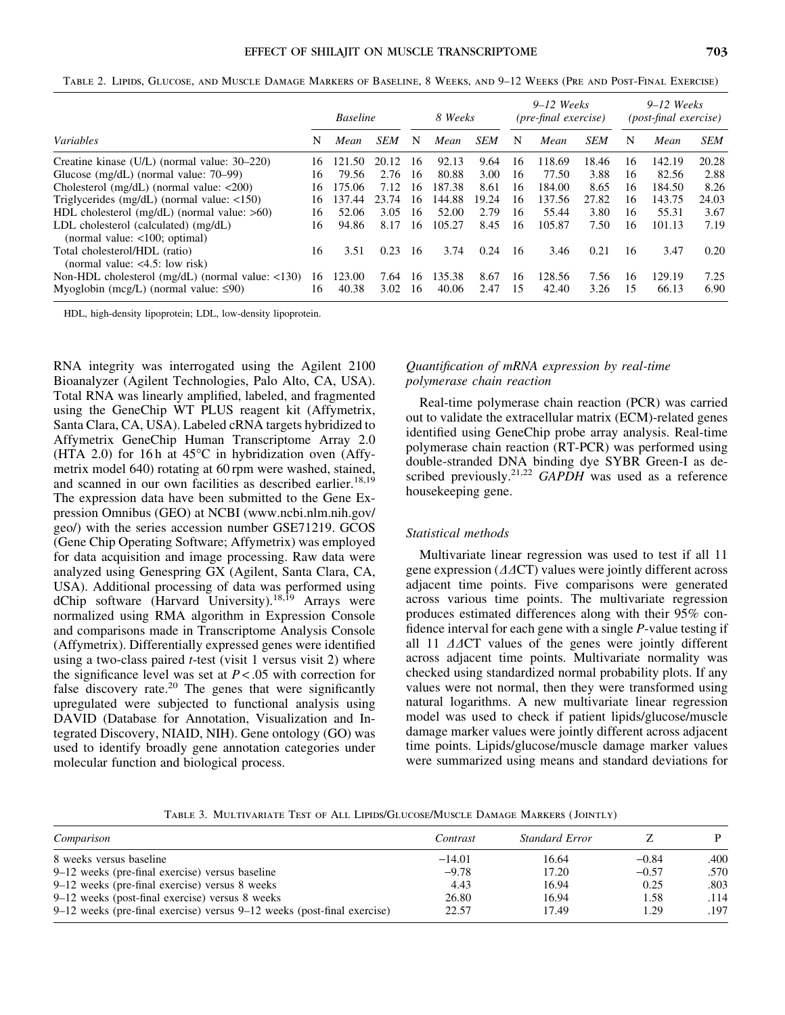|                                                                            |    | <b>Baseline</b> |            | 8 Weeks |        | $9-12$ Weeks<br>(pre-final exercise) |    | $9-12$ Weeks<br><i>(post-final exercise)</i> |            |    |        |            |
|----------------------------------------------------------------------------|----|-----------------|------------|---------|--------|--------------------------------------|----|----------------------------------------------|------------|----|--------|------------|
| Variables                                                                  | N  | Mean            | <b>SEM</b> | N       | Mean   | <b>SEM</b>                           | N  | Mean                                         | <b>SEM</b> | N  | Mean   | <b>SEM</b> |
| Creatine kinase (U/L) (normal value: 30–220)                               | 16 | 121.50          | 20.12      | 16      | 92.13  | 9.64                                 | 16 | 118.69                                       | 18.46      | 16 | 142.19 | 20.28      |
| Glucose $(mg/dL)$ (normal value: 70–99)                                    | 16 | 79.56           | 2.76       | -16     | 80.88  | 3.00                                 | 16 | 77.50                                        | 3.88       | 16 | 82.56  | 2.88       |
| Cholesterol (mg/dL) (normal value: $\langle 200 \rangle$                   | 16 | 175.06          | 7.12       | 16      | 187.38 | 8.61                                 | 16 | 184.00                                       | 8.65       | 16 | 184.50 | 8.26       |
| Triglycerides (mg/dL) (normal value: $\langle$ 150)                        | 16 | 137.44          | 23.74      | 16      | 144.88 | 19.24                                | 16 | 137.56                                       | 27.82      | 16 | 143.75 | 24.03      |
| HDL cholesterol $(mg/dL)$ (normal value: $>60$ )                           | 16 | 52.06           | 3.05       | 16      | 52.00  | 2.79                                 | 16 | 55.44                                        | 3.80       | 16 | 55.31  | 3.67       |
| LDL cholesterol (calculated) $(mg/dL)$<br>(normal value: $<100$ ; optimal) | 16 | 94.86           | 8.17       | 16      | 105.27 | 8.45                                 | 16 | 105.87                                       | 7.50       | 16 | 101.13 | 7.19       |
| Total cholesterol/HDL (ratio)<br>(normal value: $<4.5$ : low risk)         | 16 | 3.51            | 0.23       | 16      | 3.74   | 0.24                                 | 16 | 3.46                                         | 0.21       | 16 | 3.47   | 0.20       |
| Non-HDL cholesterol (mg/dL) (normal value: <130)                           | 16 | 123.00          | 7.64       | 16      | 135.38 | 8.67                                 | 16 | 128.56                                       | 7.56       | 16 | 129.19 | 7.25       |
| Myoglobin (mcg/L) (normal value: $\leq 90$ )                               | 16 | 40.38           | 3.02       | 16      | 40.06  | 2.47                                 | 15 | 42.40                                        | 3.26       | 15 | 66.13  | 6.90       |

Table 2. Lipids, Glucose, and Muscle Damage Markers of Baseline, 8 Weeks, and 9–12 Weeks (Pre and Post-Final Exercise)

HDL, high-density lipoprotein; LDL, low-density lipoprotein.

RNA integrity was interrogated using the Agilent 2100 Bioanalyzer (Agilent Technologies, Palo Alto, CA, USA). Total RNA was linearly amplified, labeled, and fragmented using the GeneChip WT PLUS reagent kit (Affymetrix, Santa Clara, CA, USA). Labeled cRNA targets hybridized to Affymetrix GeneChip Human Transcriptome Array 2.0 (HTA 2.0) for 16 h at  $45^{\circ}$ C in hybridization oven (Affymetrix model 640) rotating at 60 rpm were washed, stained, and scanned in our own facilities as described earlier.<sup>18,19</sup> The expression data have been submitted to the Gene Expression Omnibus (GEO) at NCBI (www.ncbi.nlm.nih.gov/ geo/) with the series accession number GSE71219. GCOS (Gene Chip Operating Software; Affymetrix) was employed for data acquisition and image processing. Raw data were analyzed using Genespring GX (Agilent, Santa Clara, CA, USA). Additional processing of data was performed using dChip software (Harvard University).18,19 Arrays were normalized using RMA algorithm in Expression Console and comparisons made in Transcriptome Analysis Console (Affymetrix). Differentially expressed genes were identified using a two-class paired *t*-test (visit 1 versus visit 2) where the significance level was set at  $P < .05$  with correction for false discovery rate.20 The genes that were significantly upregulated were subjected to functional analysis using DAVID (Database for Annotation, Visualization and Integrated Discovery, NIAID, NIH). Gene ontology (GO) was used to identify broadly gene annotation categories under molecular function and biological process.

# Quantification of mRNA expression by real-time polymerase chain reaction

Real-time polymerase chain reaction (PCR) was carried out to validate the extracellular matrix (ECM)-related genes identified using GeneChip probe array analysis. Real-time polymerase chain reaction (RT-PCR) was performed using double-stranded DNA binding dye SYBR Green-I as described previously.<sup>21,22</sup> GAPDH was used as a reference housekeeping gene.

#### Statistical methods

Multivariate linear regression was used to test if all 11 gene expression  $(\Delta \Delta C)$  values were jointly different across adjacent time points. Five comparisons were generated across various time points. The multivariate regression produces estimated differences along with their 95% confidence interval for each gene with a single P-value testing if all 11  $\Delta\Delta$ CT values of the genes were jointly different across adjacent time points. Multivariate normality was checked using standardized normal probability plots. If any values were not normal, then they were transformed using natural logarithms. A new multivariate linear regression model was used to check if patient lipids/glucose/muscle damage marker values were jointly different across adjacent time points. Lipids/glucose/muscle damage marker values were summarized using means and standard deviations for

Table 3. Multivariate Test of All Lipids/Glucose/Muscle Damage Markers ( Jointly)

| Comparison                                                                  | Contrast | Standard Error |         |      |
|-----------------------------------------------------------------------------|----------|----------------|---------|------|
| 8 weeks versus baseline                                                     | $-14.01$ | 16.64          | $-0.84$ | .400 |
| $9-12$ weeks (pre-final exercise) versus baseline                           | $-9.78$  | 17.20          | $-0.57$ | .570 |
| $9-12$ weeks (pre-final exercise) versus 8 weeks                            | 4.43     | 16.94          | 0.25    | .803 |
| $9-12$ weeks (post-final exercise) versus 8 weeks                           | 26.80    | 16.94          | 1.58    | .114 |
| $9-12$ weeks (pre-final exercise) versus $9-12$ weeks (post-final exercise) | 22.57    | 17.49          | 1.29    | .197 |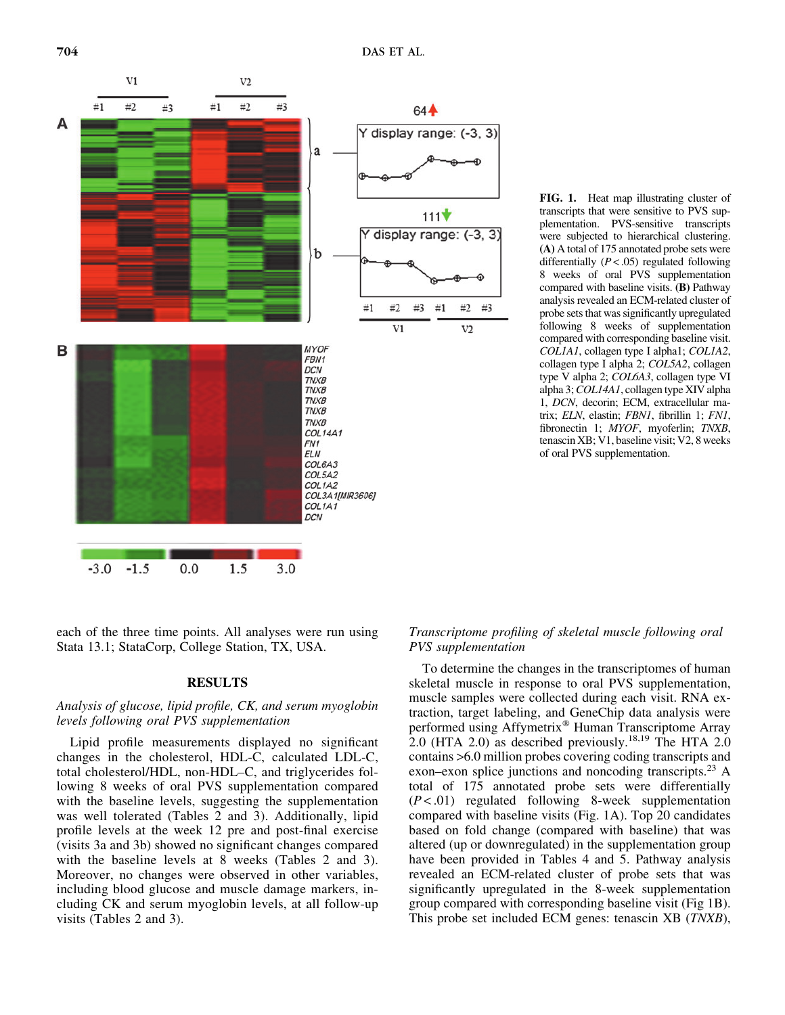

FIG. 1. Heat map illustrating cluster of transcripts that were sensitive to PVS supplementation. PVS-sensitive transcripts were subjected to hierarchical clustering. (A) A total of 175 annotated probe sets were differentially  $(P < .05)$  regulated following 8 weeks of oral PVS supplementation compared with baseline visits. (B) Pathway analysis revealed an ECM-related cluster of probe sets that was significantly upregulated following 8 weeks of supplementation compared with corresponding baseline visit. COL1A1, collagen type I alpha1; COL1A2, collagen type I alpha 2; COL5A2, collagen type V alpha 2; COL6A3, collagen type VI alpha 3; COL14A1, collagen type XIV alpha 1, DCN, decorin; ECM, extracellular matrix; ELN, elastin; FBN1, fibrillin 1; FN1, fibronectin 1; MYOF, myoferlin; TNXB, tenascin XB; V1, baseline visit; V2, 8 weeks of oral PVS supplementation.

each of the three time points. All analyses were run using Stata 13.1; StataCorp, College Station, TX, USA.

# RESULTS

# Analysis of glucose, lipid profile, CK, and serum myoglobin levels following oral PVS supplementation

Lipid profile measurements displayed no significant changes in the cholesterol, HDL-C, calculated LDL-C, total cholesterol/HDL, non-HDL–C, and triglycerides following 8 weeks of oral PVS supplementation compared with the baseline levels, suggesting the supplementation was well tolerated (Tables 2 and 3). Additionally, lipid profile levels at the week 12 pre and post-final exercise (visits 3a and 3b) showed no significant changes compared with the baseline levels at 8 weeks (Tables 2 and 3). Moreover, no changes were observed in other variables, including blood glucose and muscle damage markers, including CK and serum myoglobin levels, at all follow-up visits (Tables 2 and 3).

# Transcriptome profiling of skeletal muscle following oral PVS supplementation

To determine the changes in the transcriptomes of human skeletal muscle in response to oral PVS supplementation, muscle samples were collected during each visit. RNA extraction, target labeling, and GeneChip data analysis were performed using Affymetrix<sup>®</sup> Human Transcriptome Array 2.0 (HTA 2.0) as described previously.<sup>18,19</sup> The HTA 2.0 contains >6.0 million probes covering coding transcripts and exon–exon splice junctions and noncoding transcripts.<sup>23</sup> A total of 175 annotated probe sets were differentially  $(P < .01)$  regulated following 8-week supplementation compared with baseline visits (Fig. 1A). Top 20 candidates based on fold change (compared with baseline) that was altered (up or downregulated) in the supplementation group have been provided in Tables 4 and 5. Pathway analysis revealed an ECM-related cluster of probe sets that was significantly upregulated in the 8-week supplementation group compared with corresponding baseline visit (Fig 1B). This probe set included ECM genes: tenascin XB (TNXB),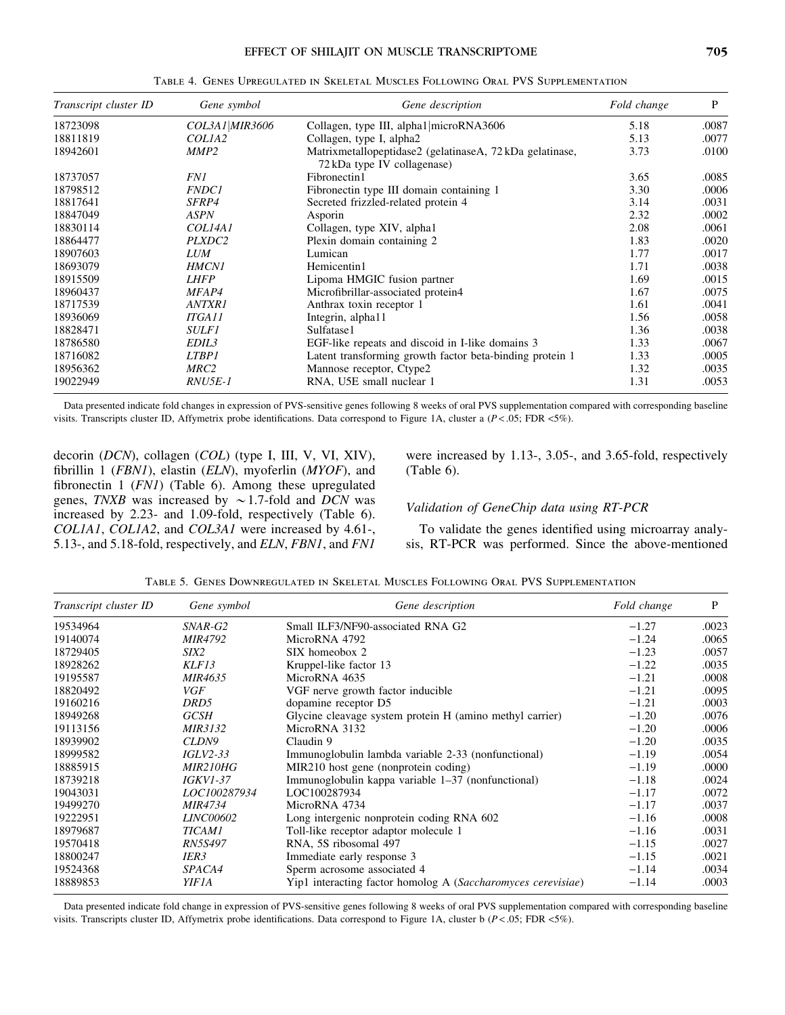| Transcript cluster ID | Gene symbol        | Gene description                                                                        | Fold change | P     |
|-----------------------|--------------------|-----------------------------------------------------------------------------------------|-------------|-------|
| 18723098              | COL3A1 MIR3606     | Collagen, type III, alpha1 microRNA3606                                                 | 5.18        | .0087 |
| 18811819              | COLIA <sub>2</sub> | Collagen, type I, alpha2                                                                | 5.13        | .0077 |
| 18942601              | MMP <sub>2</sub>   | Matrixmetallopeptidase2 (gelatinaseA, 72 kDa gelatinase,<br>72 kDa type IV collagenase) | 3.73        | .0100 |
| 18737057              | <i>FN1</i>         | Fibronectin1                                                                            | 3.65        | .0085 |
| 18798512              | <b>FNDC1</b>       | Fibronectin type III domain containing 1                                                | 3.30        | .0006 |
| 18817641              | <i>SFRP4</i>       | Secreted frizzled-related protein 4                                                     | 3.14        | .0031 |
| 18847049              | <b>ASPN</b>        | Asporin                                                                                 | 2.32        | .0002 |
| 18830114              | COL14A1            | Collagen, type XIV, alpha1                                                              | 2.08        | .0061 |
| 18864477              | PLXDC2             | Plexin domain containing 2                                                              | 1.83        | .0020 |
| 18907603              | <b>LUM</b>         | Lumican                                                                                 | 1.77        | .0017 |
| 18693079              | <b>HMCN1</b>       | Hemicentin1                                                                             | 1.71        | .0038 |
| 18915509              | <b>LHFP</b>        | Lipoma HMGIC fusion partner                                                             | 1.69        | .0015 |
| 18960437              | MFAP4              | Microfibrillar-associated protein4                                                      | 1.67        | .0075 |
| 18717539              | <b>ANTXR1</b>      | Anthrax toxin receptor 1                                                                | 1.61        | .0041 |
| 18936069              | <b>ITGA11</b>      | Integrin, alpha11                                                                       | 1.56        | .0058 |
| 18828471              | <i>SULF1</i>       | Sulfatase1                                                                              | 1.36        | .0038 |
| 18786580              | <i>EDIL3</i>       | EGF-like repeats and discoid in I-like domains 3                                        | 1.33        | .0067 |
| 18716082              | <b>LTBP1</b>       | Latent transforming growth factor beta-binding protein 1                                | 1.33        | .0005 |
| 18956362              | MRC2               | Mannose receptor, Ctype2                                                                | 1.32        | .0035 |
| 19022949              | RNU5E-1            | RNA, U5E small nuclear 1                                                                | 1.31        | .0053 |

Table 4. Genes Upregulated in Skeletal Muscles Following Oral PVS Supplementation

Data presented indicate fold changes in expression of PVS-sensitive genes following 8 weeks of oral PVS supplementation compared with corresponding baseline visits. Transcripts cluster ID, Affymetrix probe identifications. Data correspond to Figure 1A, cluster a  $(P < .05; FDR < 5%).$ 

decorin (DCN), collagen (COL) (type I, III, V, VI, XIV), fibrillin 1 (FBN1), elastin (ELN), myoferlin (MYOF), and fibronectin 1 (FN1) (Table 6). Among these upregulated genes, TNXB was increased by  $\sim$  1.7-fold and DCN was increased by 2.23- and 1.09-fold, respectively (Table 6). COL1A1, COL1A2, and COL3A1 were increased by 4.61-, 5.13-, and 5.18-fold, respectively, and ELN, FBN1, and FN1 were increased by 1.13-, 3.05-, and 3.65-fold, respectively (Table 6).

## Validation of GeneChip data using RT-PCR

To validate the genes identified using microarray analysis, RT-PCR was performed. Since the above-mentioned

| Transcript cluster ID | Gene symbol            | Gene description                                             | Fold change | P     |
|-----------------------|------------------------|--------------------------------------------------------------|-------------|-------|
| 19534964              | SNAR-G2                | Small ILF3/NF90-associated RNA G2                            | $-1.27$     | .0023 |
| 19140074              | <b>MIR4792</b>         | MicroRNA 4792                                                | $-1.24$     | .0065 |
| 18729405              | SIX2                   | SIX homeobox 2                                               | $-1.23$     | .0057 |
| 18928262              | KLF13                  | Kruppel-like factor 13                                       | $-1.22$     | .0035 |
| 19195587              | <i>MIR4635</i>         | MicroRNA 4635                                                | $-1.21$     | .0008 |
| 18820492              | VGF                    | VGF nerve growth factor inducible                            | $-1.21$     | .0095 |
| 19160216              | DRD5                   | dopamine receptor D5                                         | $-1.21$     | .0003 |
| 18949268              | GCSH                   | Glycine cleavage system protein H (amino methyl carrier)     | $-1.20$     | .0076 |
| 19113156              | <i>MIR3132</i>         | MicroRNA 3132                                                | $-1.20$     | .0006 |
| 18939902              | CLDN9                  | Claudin 9                                                    | $-1.20$     | .0035 |
| 18999582              | $IGLV2-33$             | Immunoglobulin lambda variable 2-33 (nonfunctional)          | $-1.19$     | .0054 |
| 18885915              | <i>MIR210HG</i>        | MIR210 host gene (nonprotein coding)                         | $-1.19$     | .0000 |
| 18739218              | <i><b>IGKV1-37</b></i> | Immunoglobulin kappa variable 1–37 (nonfunctional)           | $-1.18$     | .0024 |
| 19043031              | <i>LOC100287934</i>    | LOC100287934                                                 | $-1.17$     | .0072 |
| 19499270              | <i>MIR4734</i>         | MicroRNA 4734                                                | $-1.17$     | .0037 |
| 19222951              | <i>LINC00602</i>       | Long intergenic nonprotein coding RNA 602                    | $-1.16$     | .0008 |
| 18979687              | <b>TICAM1</b>          | Toll-like receptor adaptor molecule 1                        | $-1.16$     | .0031 |
| 19570418              | <i>RN5S497</i>         | RNA, 5S ribosomal 497                                        | $-1.15$     | .0027 |
| 18800247              | IER <sub>3</sub>       | Immediate early response 3                                   | $-1.15$     | .0021 |
| 19524368              | SPACA4                 | Sperm acrosome associated 4                                  | $-1.14$     | .0034 |
| 18889853              | YIF1A                  | Yip1 interacting factor homolog A (Saccharomyces cerevisiae) | $-1.14$     | .0003 |

Table 5. Genes Downregulated in Skeletal Muscles Following Oral PVS Supplementation

Data presented indicate fold change in expression of PVS-sensitive genes following 8 weeks of oral PVS supplementation compared with corresponding baseline visits. Transcripts cluster ID, Affymetrix probe identifications. Data correspond to Figure 1A, cluster b  $(P < .05; FDR < 5%)$ .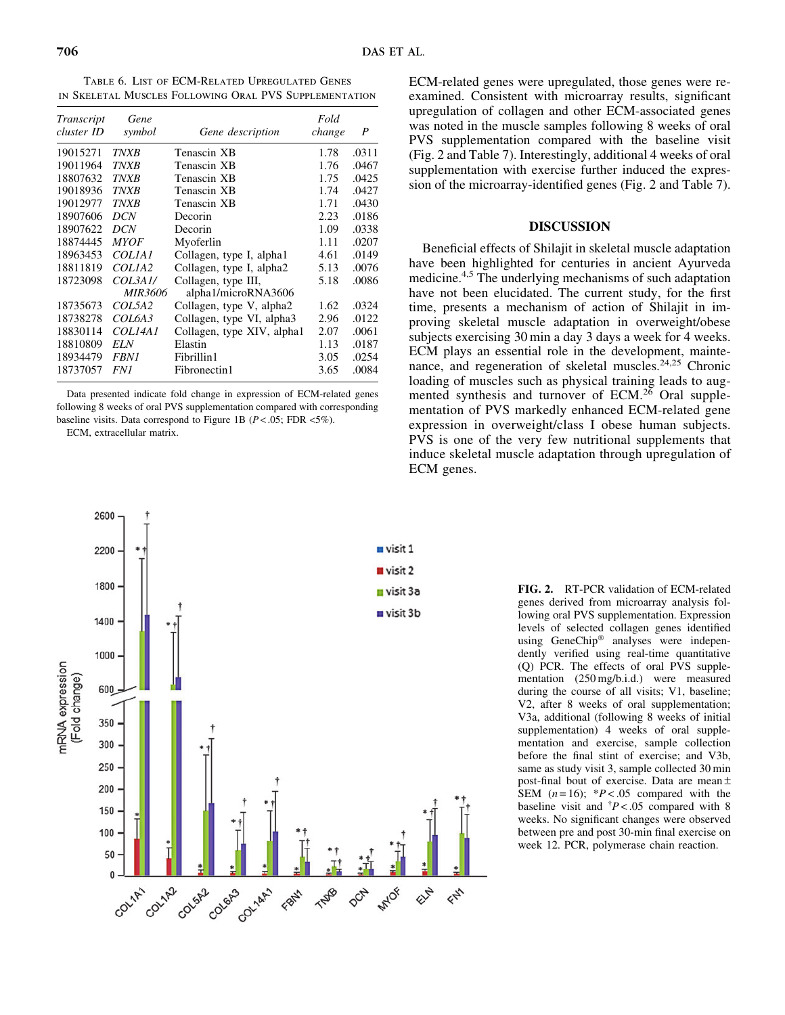Table 6. List of ECM-Related Upregulated Genes in Skeletal Muscles Following Oral PVS Supplementation

| Transcript<br>cluster ID | Gene<br>symbol     | Gene description           | Fold<br>change | P     |
|--------------------------|--------------------|----------------------------|----------------|-------|
| 19015271                 | <b>TNXB</b>        | Tenascin XB                | 1.78           | .0311 |
| 19011964                 | <b>TNXB</b>        | Tenascin XB                | 1.76           | .0467 |
| 18807632                 | <b>TNXB</b>        | Tenascin XB                | 1.75           | .0425 |
| 19018936                 | <b>TNXB</b>        | Tenascin XB                | 1.74           | .0427 |
| 19012977                 | <b>TNXB</b>        | Tenascin XB                | 1.71           | .0430 |
| 18907606                 | <b>DCN</b>         | Decorin                    | 2.23           | .0186 |
| 18907622                 | <b>DCN</b>         | Decorin                    | 1.09           | .0338 |
| 18874445                 | <b>MYOF</b>        | Myoferlin                  | 1.11           | .0207 |
| 18963453                 | <i>COLIAI</i>      | Collagen, type I, alpha1   | 4.61           | .0149 |
| 18811819                 | COLIA <sub>2</sub> | Collagen, type I, alpha2   | 5.13           | .0076 |
| 18723098                 | COL3A1/            | Collagen, type III,        | 5.18           | .0086 |
|                          | <i>MIR3606</i>     | alpha1/microRNA3606        |                |       |
| 18735673                 | <i>COL5A2</i>      | Collagen, type V, alpha2   | 1.62           | .0324 |
| 18738278                 | <i>COL6A3</i>      | Collagen, type VI, alpha3  | 2.96           | .0122 |
| 18830114                 | COL14A1            | Collagen, type XIV, alpha1 | 2.07           | .0061 |
| 18810809                 | <i>ELN</i>         | Elastin                    | 1.13           | .0187 |
| 18934479                 | <i>FBN1</i>        | Fibrillin1                 | 3.05           | .0254 |
| 18737057                 | FN 1               | Fibronectin1               | 3.65           | .0084 |

Data presented indicate fold change in expression of ECM-related genes following 8 weeks of oral PVS supplementation compared with corresponding baseline visits. Data correspond to Figure 1B ( $P < .05$ ; FDR  $\langle 5\% \rangle$ ).

ECM, extracellular matrix.



ECM-related genes were upregulated, those genes were reexamined. Consistent with microarray results, significant upregulation of collagen and other ECM-associated genes was noted in the muscle samples following 8 weeks of oral PVS supplementation compared with the baseline visit (Fig. 2 and Table 7). Interestingly, additional 4 weeks of oral supplementation with exercise further induced the expression of the microarray-identified genes (Fig. 2 and Table 7).

# DISCUSSION

Beneficial effects of Shilajit in skeletal muscle adaptation have been highlighted for centuries in ancient Ayurveda medicine.4,5 The underlying mechanisms of such adaptation have not been elucidated. The current study, for the first time, presents a mechanism of action of Shilajit in improving skeletal muscle adaptation in overweight/obese subjects exercising 30 min a day 3 days a week for 4 weeks. ECM plays an essential role in the development, maintenance, and regeneration of skeletal muscles.<sup>24,25</sup> Chronic loading of muscles such as physical training leads to augmented synthesis and turnover of ECM.<sup>26</sup> Oral supplementation of PVS markedly enhanced ECM-related gene expression in overweight/class I obese human subjects. PVS is one of the very few nutritional supplements that induce skeletal muscle adaptation through upregulation of ECM genes.

> FIG. 2. RT-PCR validation of ECM-related genes derived from microarray analysis following oral PVS supplementation. Expression levels of selected collagen genes identified using GeneChip<sup>®</sup> analyses were independently verified using real-time quantitative (Q) PCR. The effects of oral PVS supplementation (250 mg/b.i.d.) were measured during the course of all visits; V1, baseline; V2, after 8 weeks of oral supplementation; V3a, additional (following 8 weeks of initial supplementation) 4 weeks of oral supplementation and exercise, sample collection before the final stint of exercise; and V3b, same as study visit 3, sample collected 30 min post-final bout of exercise. Data are mean  $\pm$ SEM  $(n=16)$ ; \*P < .05 compared with the baseline visit and  ${\dagger}P < .05$  compared with 8 weeks. No significant changes were observed between pre and post 30-min final exercise on week 12. PCR, polymerase chain reaction.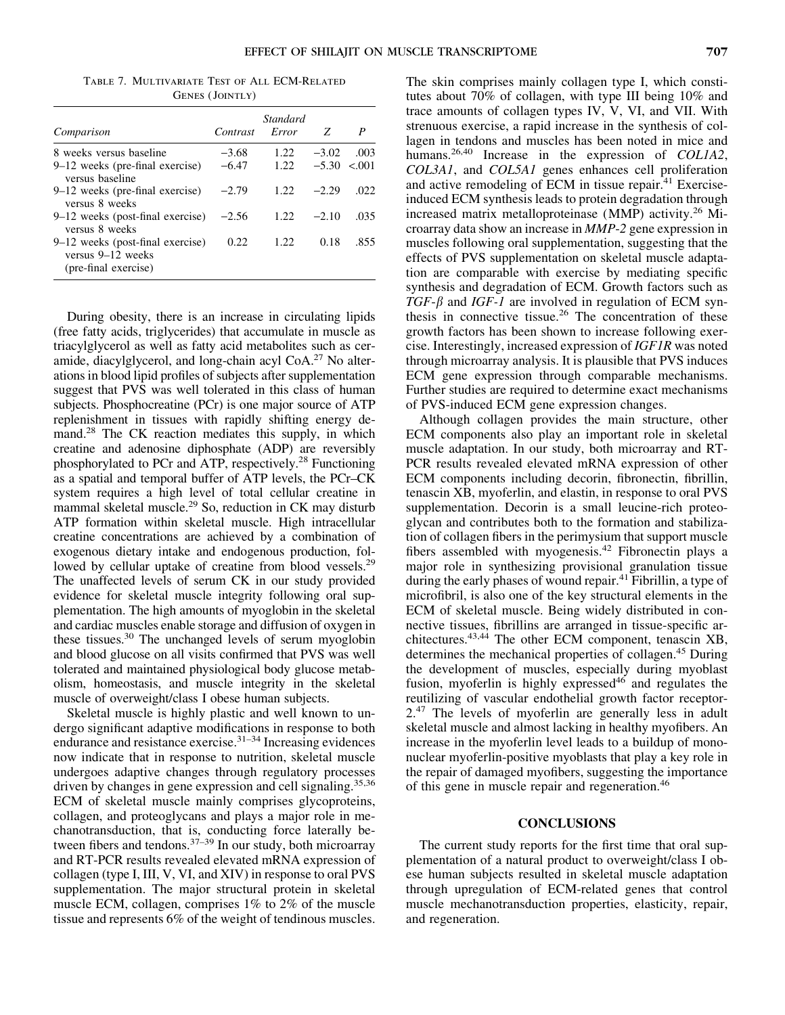Table 7. Multivariate Test of All ECM-Related GENES (JOINTLY)

| Comparison                                                                    | Contrast | <b>Standard</b><br>Error | - 7.              | P    |
|-------------------------------------------------------------------------------|----------|--------------------------|-------------------|------|
| 8 weeks versus baseline                                                       | $-3.68$  | 1.22.                    | $-3.02$           | .003 |
| $9-12$ weeks (pre-final exercise)<br>versus baseline                          | $-6.47$  | 1.22                     | $-5.30 \le 0.001$ |      |
| $9-12$ weeks (pre-final exercise)<br>versus 8 weeks                           | $-2.79$  | 1.22                     | $-2.29$           | .022 |
| $9-12$ weeks (post-final exercise)<br>versus 8 weeks                          | $-2.56$  | 1.22.                    | $-2.10$           | .035 |
| 9–12 weeks (post-final exercise)<br>versus 9–12 weeks<br>(pre-final exercise) | 0.22     | 1.22                     | 0.18              | .855 |

During obesity, there is an increase in circulating lipids (free fatty acids, triglycerides) that accumulate in muscle as triacylglycerol as well as fatty acid metabolites such as ceramide, diacylglycerol, and long-chain acyl CoA.27 No alterations in blood lipid profiles of subjects after supplementation suggest that PVS was well tolerated in this class of human subjects. Phosphocreatine (PCr) is one major source of ATP replenishment in tissues with rapidly shifting energy demand.<sup>28</sup> The CK reaction mediates this supply, in which creatine and adenosine diphosphate (ADP) are reversibly phosphorylated to PCr and ATP, respectively.28 Functioning as a spatial and temporal buffer of ATP levels, the PCr–CK system requires a high level of total cellular creatine in mammal skeletal muscle.<sup>29</sup> So, reduction in CK may disturb ATP formation within skeletal muscle. High intracellular creatine concentrations are achieved by a combination of exogenous dietary intake and endogenous production, followed by cellular uptake of creatine from blood vessels.<sup>29</sup> The unaffected levels of serum CK in our study provided evidence for skeletal muscle integrity following oral supplementation. The high amounts of myoglobin in the skeletal and cardiac muscles enable storage and diffusion of oxygen in these tissues.30 The unchanged levels of serum myoglobin and blood glucose on all visits confirmed that PVS was well tolerated and maintained physiological body glucose metabolism, homeostasis, and muscle integrity in the skeletal muscle of overweight/class I obese human subjects.

Skeletal muscle is highly plastic and well known to undergo significant adaptive modifications in response to both endurance and resistance exercise. $31-34$  Increasing evidences now indicate that in response to nutrition, skeletal muscle undergoes adaptive changes through regulatory processes driven by changes in gene expression and cell signaling.<sup>35,36</sup> ECM of skeletal muscle mainly comprises glycoproteins, collagen, and proteoglycans and plays a major role in mechanotransduction, that is, conducting force laterally between fibers and tendons.<sup>37–39</sup> In our study, both microarray and RT-PCR results revealed elevated mRNA expression of collagen (type I, III, V, VI, and XIV) in response to oral PVS supplementation. The major structural protein in skeletal muscle ECM, collagen, comprises 1% to 2% of the muscle tissue and represents 6% of the weight of tendinous muscles. The skin comprises mainly collagen type I, which constitutes about 70% of collagen, with type III being 10% and trace amounts of collagen types IV, V, VI, and VII. With strenuous exercise, a rapid increase in the synthesis of collagen in tendons and muscles has been noted in mice and humans.<sup>26,40</sup> Increase in the expression of *COL1A2*, COL3A1, and COL5A1 genes enhances cell proliferation and active remodeling of ECM in tissue repair. $41$  Exerciseinduced ECM synthesis leads to protein degradation through increased matrix metalloproteinase (MMP) activity.<sup>26</sup> Microarray data show an increase in MMP-2 gene expression in muscles following oral supplementation, suggesting that the effects of PVS supplementation on skeletal muscle adaptation are comparable with exercise by mediating specific synthesis and degradation of ECM. Growth factors such as  $TGF-\beta$  and IGF-1 are involved in regulation of ECM synthesis in connective tissue.26 The concentration of these growth factors has been shown to increase following exercise. Interestingly, increased expression of IGF1R was noted through microarray analysis. It is plausible that PVS induces ECM gene expression through comparable mechanisms. Further studies are required to determine exact mechanisms of PVS-induced ECM gene expression changes.

Although collagen provides the main structure, other ECM components also play an important role in skeletal muscle adaptation. In our study, both microarray and RT-PCR results revealed elevated mRNA expression of other ECM components including decorin, fibronectin, fibrillin, tenascin XB, myoferlin, and elastin, in response to oral PVS supplementation. Decorin is a small leucine-rich proteoglycan and contributes both to the formation and stabilization of collagen fibers in the perimysium that support muscle fibers assembled with myogenesis.<sup>42</sup> Fibronectin plays a major role in synthesizing provisional granulation tissue during the early phases of wound repair.<sup>41</sup> Fibrillin, a type of microfibril, is also one of the key structural elements in the ECM of skeletal muscle. Being widely distributed in connective tissues, fibrillins are arranged in tissue-specific architectures.43,44 The other ECM component, tenascin XB, determines the mechanical properties of collagen.45 During the development of muscles, especially during myoblast fusion, myoferlin is highly expressed $46$  and regulates the reutilizing of vascular endothelial growth factor receptor-2.<sup>47</sup> The levels of myoferlin are generally less in adult skeletal muscle and almost lacking in healthy myofibers. An increase in the myoferlin level leads to a buildup of mononuclear myoferlin-positive myoblasts that play a key role in the repair of damaged myofibers, suggesting the importance of this gene in muscle repair and regeneration.46

# **CONCLUSIONS**

The current study reports for the first time that oral supplementation of a natural product to overweight/class I obese human subjects resulted in skeletal muscle adaptation through upregulation of ECM-related genes that control muscle mechanotransduction properties, elasticity, repair, and regeneration.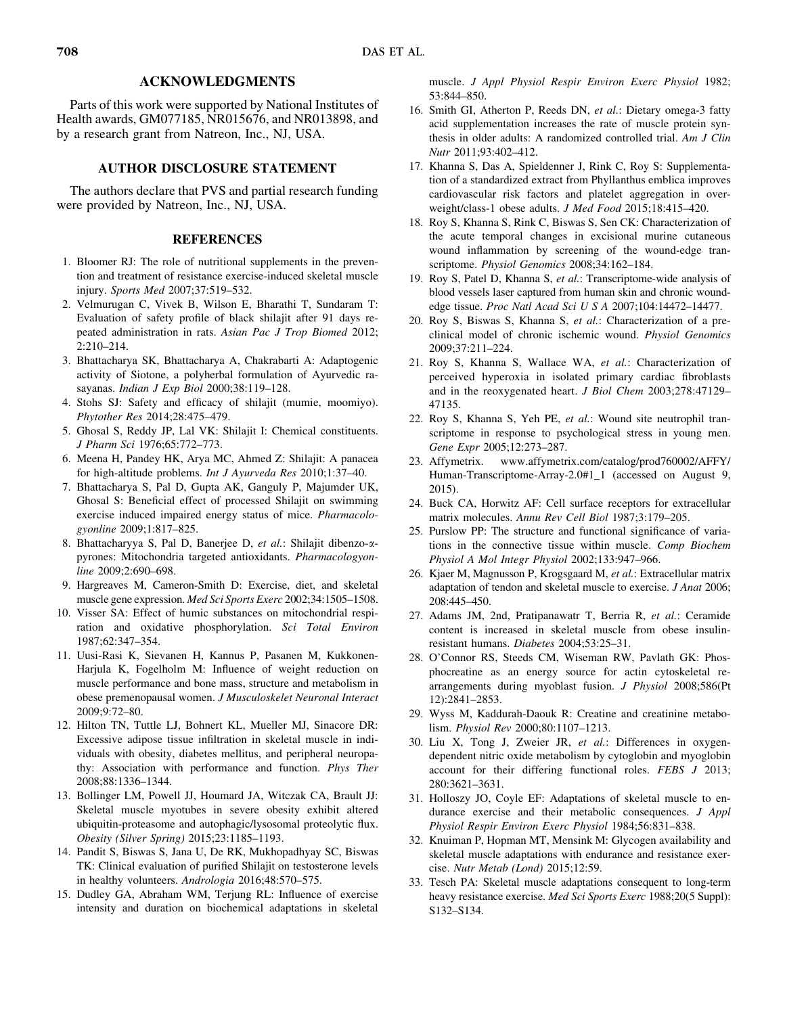# ACKNOWLEDGMENTS

Parts of this work were supported by National Institutes of Health awards, GM077185, NR015676, and NR013898, and by a research grant from Natreon, Inc., NJ, USA.

# AUTHOR DISCLOSURE STATEMENT

The authors declare that PVS and partial research funding were provided by Natreon, Inc., NJ, USA.

# **REFERENCES**

- 1. Bloomer RJ: The role of nutritional supplements in the prevention and treatment of resistance exercise-induced skeletal muscle injury. Sports Med 2007;37:519–532.
- 2. Velmurugan C, Vivek B, Wilson E, Bharathi T, Sundaram T: Evaluation of safety profile of black shilajit after 91 days repeated administration in rats. Asian Pac J Trop Biomed 2012; 2:210–214.
- 3. Bhattacharya SK, Bhattacharya A, Chakrabarti A: Adaptogenic activity of Siotone, a polyherbal formulation of Ayurvedic rasayanas. Indian J Exp Biol 2000;38:119–128.
- 4. Stohs SJ: Safety and efficacy of shilajit (mumie, moomiyo). Phytother Res 2014;28:475–479.
- 5. Ghosal S, Reddy JP, Lal VK: Shilajit I: Chemical constituents. J Pharm Sci 1976;65:772–773.
- 6. Meena H, Pandey HK, Arya MC, Ahmed Z: Shilajit: A panacea for high-altitude problems. Int J Ayurveda Res 2010;1:37–40.
- 7. Bhattacharya S, Pal D, Gupta AK, Ganguly P, Majumder UK, Ghosal S: Beneficial effect of processed Shilajit on swimming exercise induced impaired energy status of mice. Pharmacologyonline 2009;1:817–825.
- 8. Bhattacharyya S, Pal D, Banerjee D, et al.: Shilajit dibenzo-apyrones: Mitochondria targeted antioxidants. Pharmacologyonline 2009;2:690–698.
- 9. Hargreaves M, Cameron-Smith D: Exercise, diet, and skeletal muscle gene expression. Med Sci Sports Exerc 2002;34:1505–1508.
- 10. Visser SA: Effect of humic substances on mitochondrial respiration and oxidative phosphorylation. Sci Total Environ 1987;62:347–354.
- 11. Uusi-Rasi K, Sievanen H, Kannus P, Pasanen M, Kukkonen-Harjula K, Fogelholm M: Influence of weight reduction on muscle performance and bone mass, structure and metabolism in obese premenopausal women. J Musculoskelet Neuronal Interact 2009;9:72–80.
- 12. Hilton TN, Tuttle LJ, Bohnert KL, Mueller MJ, Sinacore DR: Excessive adipose tissue infiltration in skeletal muscle in individuals with obesity, diabetes mellitus, and peripheral neuropathy: Association with performance and function. Phys Ther 2008;88:1336–1344.
- 13. Bollinger LM, Powell JJ, Houmard JA, Witczak CA, Brault JJ: Skeletal muscle myotubes in severe obesity exhibit altered ubiquitin-proteasome and autophagic/lysosomal proteolytic flux. Obesity (Silver Spring) 2015;23:1185–1193.
- 14. Pandit S, Biswas S, Jana U, De RK, Mukhopadhyay SC, Biswas TK: Clinical evaluation of purified Shilajit on testosterone levels in healthy volunteers. Andrologia 2016;48:570–575.
- 15. Dudley GA, Abraham WM, Terjung RL: Influence of exercise intensity and duration on biochemical adaptations in skeletal

muscle. J Appl Physiol Respir Environ Exerc Physiol 1982; 53:844–850.

- 16. Smith GI, Atherton P, Reeds DN, et al.: Dietary omega-3 fatty acid supplementation increases the rate of muscle protein synthesis in older adults: A randomized controlled trial. Am J Clin Nutr 2011;93:402–412.
- 17. Khanna S, Das A, Spieldenner J, Rink C, Roy S: Supplementation of a standardized extract from Phyllanthus emblica improves cardiovascular risk factors and platelet aggregation in overweight/class-1 obese adults. J Med Food 2015;18:415–420.
- 18. Roy S, Khanna S, Rink C, Biswas S, Sen CK: Characterization of the acute temporal changes in excisional murine cutaneous wound inflammation by screening of the wound-edge transcriptome. Physiol Genomics 2008;34:162–184.
- 19. Roy S, Patel D, Khanna S, et al.: Transcriptome-wide analysis of blood vessels laser captured from human skin and chronic woundedge tissue. Proc Natl Acad Sci U S A 2007;104:14472–14477.
- 20. Roy S, Biswas S, Khanna S, et al.: Characterization of a preclinical model of chronic ischemic wound. Physiol Genomics 2009;37:211–224.
- 21. Roy S, Khanna S, Wallace WA, et al.: Characterization of perceived hyperoxia in isolated primary cardiac fibroblasts and in the reoxygenated heart. J Biol Chem 2003;278:47129– 47135.
- 22. Roy S, Khanna S, Yeh PE, et al.: Wound site neutrophil transcriptome in response to psychological stress in young men. Gene Expr 2005;12:273–287.
- 23. Affymetrix. www.affymetrix.com/catalog/prod760002/AFFY/ Human-Transcriptome-Array-2.0#1\_1 (accessed on August 9, 2015).
- 24. Buck CA, Horwitz AF: Cell surface receptors for extracellular matrix molecules. Annu Rev Cell Biol 1987;3:179–205.
- 25. Purslow PP: The structure and functional significance of variations in the connective tissue within muscle. Comp Biochem Physiol A Mol Integr Physiol 2002;133:947–966.
- 26. Kjaer M, Magnusson P, Krogsgaard M, et al.: Extracellular matrix adaptation of tendon and skeletal muscle to exercise. J Anat 2006; 208:445–450.
- 27. Adams JM, 2nd, Pratipanawatr T, Berria R, et al.: Ceramide content is increased in skeletal muscle from obese insulinresistant humans. Diabetes 2004;53:25–31.
- 28. O'Connor RS, Steeds CM, Wiseman RW, Pavlath GK: Phosphocreatine as an energy source for actin cytoskeletal rearrangements during myoblast fusion. J Physiol 2008;586(Pt 12):2841–2853.
- 29. Wyss M, Kaddurah-Daouk R: Creatine and creatinine metabolism. Physiol Rev 2000;80:1107–1213.
- 30. Liu X, Tong J, Zweier JR, et al.: Differences in oxygendependent nitric oxide metabolism by cytoglobin and myoglobin account for their differing functional roles. FEBS J 2013; 280:3621–3631.
- 31. Holloszy JO, Coyle EF: Adaptations of skeletal muscle to endurance exercise and their metabolic consequences. *J Appl* Physiol Respir Environ Exerc Physiol 1984;56:831–838.
- 32. Knuiman P, Hopman MT, Mensink M: Glycogen availability and skeletal muscle adaptations with endurance and resistance exercise. Nutr Metab (Lond) 2015;12:59.
- 33. Tesch PA: Skeletal muscle adaptations consequent to long-term heavy resistance exercise. Med Sci Sports Exerc 1988;20(5 Suppl): S132–S134.